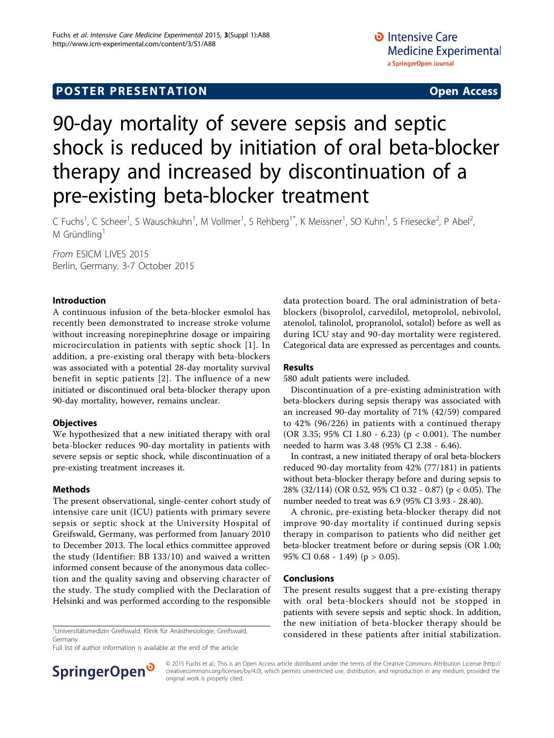# 90-day mortality of severe sepsis and septic shock is reduced by initiation of oral beta-blocker therapy and increased by discontinuation of a pre-existing beta-blocker treatment

C Fuchs<sup>1</sup>, C Scheer<sup>1</sup>, S Wauschkuhn<sup>1</sup>, M Vollmer<sup>1</sup>, S Rehberg<sup>1\*</sup>, K Meissner<sup>1</sup>, SO Kuhn<sup>1</sup>, S Friesecke<sup>2</sup>, P Abel<sup>2</sup> .<br>, M Gründling<sup>1</sup>

From ESICM LIVES 2015 Berlin, Germany. 3-7 October 2015

### Introduction

A continuous infusion of the beta-blocker esmolol has recently been demonstrated to increase stroke volume without increasing norepinephrine dosage or impairing microcirculation in patients with septic shock [[1\]](#page-1-0). In addition, a pre-existing oral therapy with beta-blockers was associated with a potential 28-day mortality survival benefit in septic patients [\[2\]](#page-1-0). The influence of a new initiated or discontinued oral beta-blocker therapy upon 90-day mortality, however, remains unclear.

# **Objectives**

We hypothesized that a new initiated therapy with oral beta-blocker reduces 90-day mortality in patients with severe sepsis or septic shock, while discontinuation of a pre-existing treatment increases it.

# Methods

The present observational, single-center cohort study of intensive care unit (ICU) patients with primary severe sepsis or septic shock at the University Hospital of Greifswald, Germany, was performed from January 2010 to December 2013. The local ethics committee approved the study (Identifier: BB 133/10) and waived a written informed consent because of the anonymous data collection and the quality saving and observing character of the study. The study complied with the Declaration of Helsinki and was performed according to the responsible

Universitätsmedizin Greifswald, Klinik für Anästhesiologie, Greifswald, Germany

Full list of author information is available at the end of the article



#### Results

580 adult patients were included.

Discontinuation of a pre-existing administration with beta-blockers during sepsis therapy was associated with an increased 90-day mortality of 71% (42/59) compared to 42% (96/226) in patients with a continued therapy (OR 3.35; 95% CI 1.80 - 6.23) (p < 0.001). The number needed to harm was 3.48 (95% CI 2.38 - 6.46).

In contrast, a new initiated therapy of oral beta-blockers reduced 90-day mortality from 42% (77/181) in patients without beta-blocker therapy before and during sepsis to 28% (32/114) (OR 0.52, 95% CI 0.32 - 0.87) (p < 0.05). The number needed to treat was 6.9 (95% CI 3.93 - 28.40).

A chronic, pre-existing beta-blocker therapy did not improve 90-day mortality if continued during sepsis therapy in comparison to patients who did neither get beta-blocker treatment before or during sepsis (OR 1.00; 95% CI 0.68 - 1.49) (p > 0.05).

#### Conclusions

The present results suggest that a pre-existing therapy with oral beta-blockers should not be stopped in patients with severe sepsis and septic shock. In addition, the new initiation of beta-blocker therapy should be considered in these patients after initial stabilization. <sup>1</sup>



© 2015 Fuchs et al.; This is an Open Access article distributed under the terms of the Creative Commons Attribution License [\(http://](http://creativecommons.org/licenses/by/4.0) [creativecommons.org/licenses/by/4.0](http://creativecommons.org/licenses/by/4.0)), which permits unrestricted use, distribution, and reproduction in any medium, provided the original work is properly cited.